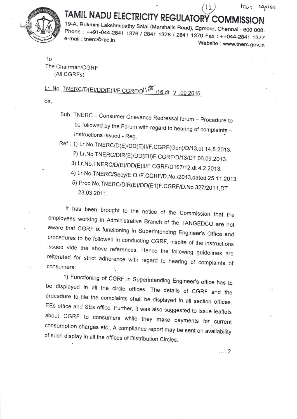copies



## TAMIL NADU ELECTRICITY REGULATORY COMMISSION

19-A, Rukmini Lakshmipathy Salai (Marshalls Road), Egmore, Chennai - 600 008.<br>Phone: ++91-044-2841 1376 / 2841 1378 / 2841 1379 F. Phone : ++91-044-2841 1376 / 2841 1378 / 2841 1379 Fax : ++044-2841 1377<br>e-mail : tnerc@nic.in Website : www.tnerc.gov.in e-mail: tnerc@nic.in

To The Chairman/CGRF (All CGRFs)

Lr. No. TNERC/D(E)/DD(E)II/F.CGRF/D<sup>I</sup>1<sup>S8</sup>/16,dt 7.09.201

Sir,

Sub: TNERC - Consumer Grievance Redressal forum - Procedure to be followed by the Forum with regard to hearing of complaints -Instructions issued - Reg.

Ref : 1) Lr.No.TNERC/D(E)/DD(F)[I/F CGRE(Cen)/D/13, tt 14.8.2013.

2) Lr. No. TNERC/DIR(E)/DD(EII)F. CGRF/D/13/DT 06.09.2013.<br>3) Lr. No. TNERC/D(E)/DD(E)II/F. CGRF/D167/12, dt 4.2.2013.

4) Lr.No.TNERC/Secy/E.O./F.CGRF/D.No./2013,dated 25.11.2013.

5) PrOC. NO. TNERC/DIR(EYDO(E <sup>1</sup>)F CGRF/D. NO .327 /20 1 1,DT 23.03.2011.

It has been brought to the notice of the Commission that the<br>employees working in Administrative Branch of the TANGEDCO are not<br>aware that CGRF is functioning in Superintending Engineer's Office and<br>procedures to be follow issued vide the above references. Hence the following guidelines are reiterated for strict adherence with regard to hearing of complaints of consumers:

1) Functioning of CGRF in Superintending Engineer's office has to<br>be displayed in all the circle offices. The details of CGRF and the<br>procedure to file the complaints shall be displayed in all section offices,<br>EEs office a of such disptay in all the offices of Distribution Circles.

. . . . . 2